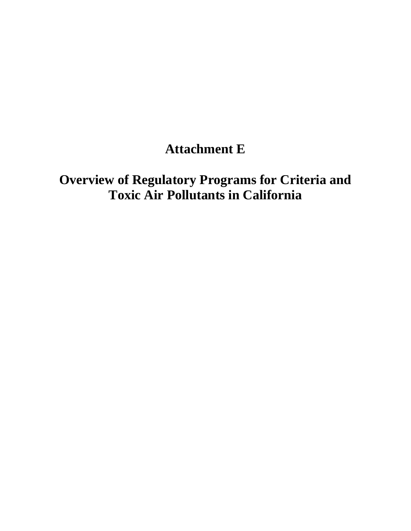## **Attachment E**

# **Overview of Regulatory Programs for Criteria and Toxic Air Pollutants in California**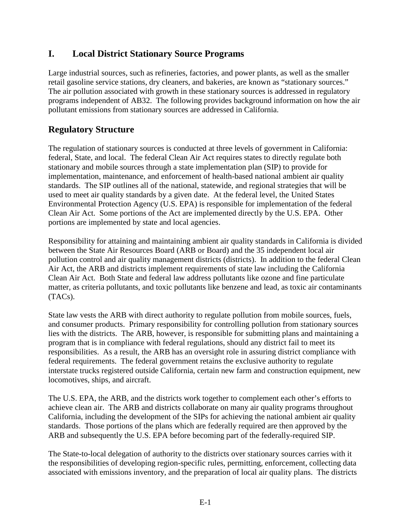#### *<u>L</u>* **I. Local District Stationary Source Programs**

 Large industrial sources, such as refineries, factories, and power plants, as well as the smaller retail gasoline service stations, dry cleaners, and bakeries, are known as "stationary sources." The air pollution associated with growth in these stationary sources is addressed in regulatory programs independent of AB32. The following provides background information on how the air pollutant emissions from stationary sources are addressed in California.

#### **Regulatory Structure**

 The regulation of stationary sources is conducted at three levels of government in California: federal, State, and local. The federal Clean Air Act requires states to directly regulate both stationary and mobile sources through a state implementation plan (SIP) to provide for implementation, maintenance, and enforcement of health-based national ambient air quality standards. The SIP outlines all of the national, statewide, and regional strategies that will be used to meet air quality standards by a given date. At the federal level, the United States Environmental Protection Agency (U.S. EPA) is responsible for implementation of the federal Clean Air Act. Some portions of the Act are implemented directly by the U.S. EPA. Other portions are implemented by state and local agencies.

 Responsibility for attaining and maintaining ambient air quality standards in California is divided between the State Air Resources Board (ARB or Board) and the 35 independent local air pollution control and air quality management districts (districts). In addition to the federal Clean Air Act, the ARB and districts implement requirements of state law including the California Clean Air Act. Both State and federal law address pollutants like ozone and fine particulate matter, as criteria pollutants, and toxic pollutants like benzene and lead, as toxic air contaminants  $(TACs)$ .

(TACs).<br>State law vests the ARB with direct authority to regulate pollution from mobile sources, fuels, and consumer products. Primary responsibility for controlling pollution from stationary sources lies with the districts. The ARB, however, is responsible for submitting plans and maintaining a program that is in compliance with federal regulations, should any district fail to meet its responsibilities. As a result, the ARB has an oversight role in assuring district compliance with federal requirements. The federal government retains the exclusive authority to regulate interstate trucks registered outside California, certain new farm and construction equipment, new locomotives, ships, and aircraft.

 The U.S. EPA, the ARB, and the districts work together to complement each other's efforts to achieve clean air. The ARB and districts collaborate on many air quality programs throughout California, including the development of the SIPs for achieving the national ambient air quality standards. Those portions of the plans which are federally required are then approved by the ARB and subsequently the U.S. EPA before becoming part of the federally-required SIP.

 The State-to-local delegation of authority to the districts over stationary sources carries with it the responsibilities of developing region-specific rules, permitting, enforcement, collecting data associated with emissions inventory, and the preparation of local air quality plans. The districts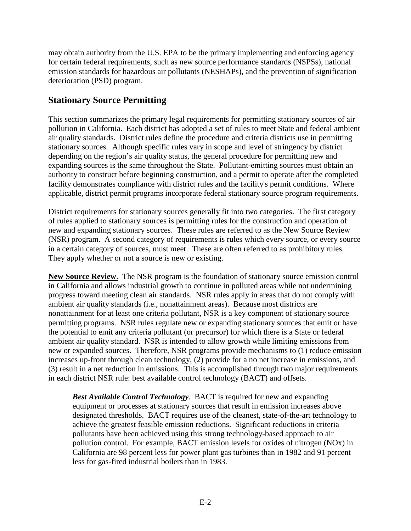may obtain authority from the U.S. EPA to be the primary implementing and enforcing agency for certain federal requirements, such as new source performance standards (NSPSs), national emission standards for hazardous air pollutants (NESHAPs), and the prevention of signification deterioration (PSD) program.

#### **Stationary Source Permitting**

 This section summarizes the primary legal requirements for permitting stationary sources of air pollution in California. Each district has adopted a set of rules to meet State and federal ambient air quality standards. District rules define the procedure and criteria districts use in permitting stationary sources. Although specific rules vary in scope and level of stringency by district depending on the region's air quality status, the general procedure for permitting new and expanding sources is the same throughout the State. Pollutant-emitting sources must obtain an authority to construct before beginning construction, and a permit to operate after the completed facility demonstrates compliance with district rules and the facility's permit conditions. Where applicable, district permit programs incorporate federal stationary source program requirements.

 District requirements for stationary sources generally fit into two categories. The first category of rules applied to stationary sources is permitting rules for the construction and operation of new and expanding stationary sources. These rules are referred to as the New Source Review (NSR) program. A second category of requirements is rules which every source, or every source in a certain category of sources, must meet. These are often referred to as prohibitory rules. They apply whether or not a source is new or existing.

 **New Source Review**. The NSR program is the foundation of stationary source emission control in California and allows industrial growth to continue in polluted areas while not undermining progress toward meeting clean air standards. NSR rules apply in areas that do not comply with ambient air quality standards (i.e., nonattainment areas). Because most districts are nonattainment for at least one criteria pollutant, NSR is a key component of stationary source permitting programs. NSR rules regulate new or expanding stationary sources that emit or have the potential to emit any criteria pollutant (or precursor) for which there is a State or federal ambient air quality standard. NSR is intended to allow growth while limiting emissions from new or expanded sources. Therefore, NSR programs provide mechanisms to (1) reduce emission increases up-front through clean technology, (2) provide for a no net increase in emissions, and (3) result in a net reduction in emissions. This is accomplished through two major requirements in each district NSR rule: best available control technology (BACT) and offsets.

 *Best Available Control Technology*. BACT is required for new and expanding equipment or processes at stationary sources that result in emission increases above designated thresholds. BACT requires use of the cleanest, state-of-the-art technology to achieve the greatest feasible emission reductions. Significant reductions in criteria pollutants have been achieved using this strong technology-based approach to air pollution control. For example, BACT emission levels for oxides of nitrogen (NOx) in California are 98 percent less for power plant gas turbines than in 1982 and 91 percent less for gas-fired industrial boilers than in 1983.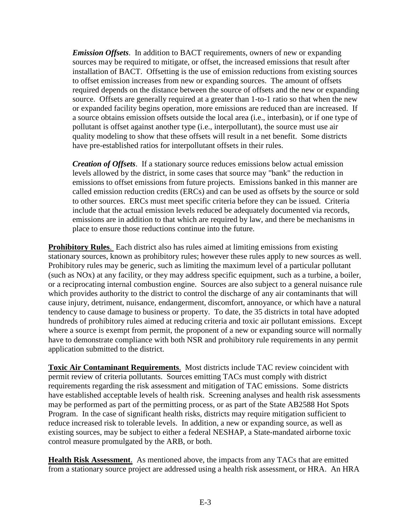*Emission Offsets*. In addition to BACT requirements, owners of new or expanding sources may be required to mitigate, or offset, the increased emissions that result after installation of BACT. Offsetting is the use of emission reductions from existing sources to offset emission increases from new or expanding sources. The amount of offsets required depends on the distance between the source of offsets and the new or expanding source. Offsets are generally required at a greater than 1-to-1 ratio so that when the new or expanded facility begins operation, more emissions are reduced than are increased. If a source obtains emission offsets outside the local area (i.e., interbasin), or if one type of pollutant is offset against another type (i.e., interpollutant), the source must use air quality modeling to show that these offsets will result in a net benefit. Some districts have pre-established ratios for interpollutant offsets in their rules.

 *Creation of Offsets*. If a stationary source reduces emissions below actual emission levels allowed by the district, in some cases that source may "bank" the reduction in emissions to offset emissions from future projects. Emissions banked in this manner are called emission reduction credits (ERCs) and can be used as offsets by the source or sold to other sources. ERCs must meet specific criteria before they can be issued. Criteria include that the actual emission levels reduced be adequately documented via records, emissions are in addition to that which are required by law, and there be mechanisms in place to ensure those reductions continue into the future.

 **Prohibitory Rules**. Each district also has rules aimed at limiting emissions from existing stationary sources, known as prohibitory rules; however these rules apply to new sources as well. Prohibitory rules may be generic, such as limiting the maximum level of a particular pollutant (such as NOx) at any facility, or they may address specific equipment, such as a turbine, a boiler, or a reciprocating internal combustion engine. Sources are also subject to a general nuisance rule which provides authority to the district to control the discharge of any air contaminants that will cause injury, detriment, nuisance, endangerment, discomfort, annoyance, or which have a natural tendency to cause damage to business or property. To date, the 35 districts in total have adopted hundreds of prohibitory rules aimed at reducing criteria and toxic air pollutant emissions. Except where a source is exempt from permit, the proponent of a new or expanding source will normally have to demonstrate compliance with both NSR and prohibitory rule requirements in any permit application submitted to the district.

**Toxic Air Contaminant Requirements.** Most districts include TAC review coincident with permit review of criteria pollutants. Sources emitting TACs must comply with district requirements regarding the risk assessment and mitigation of TAC emissions. Some districts have established acceptable levels of health risk. Screening analyses and health risk assessments may be performed as part of the permitting process, or as part of the State AB2588 Hot Spots Program. In the case of significant health risks, districts may require mitigation sufficient to reduce increased risk to tolerable levels. In addition, a new or expanding source, as well as existing sources, may be subject to either a federal NESHAP, a State-mandated airborne toxic control measure promulgated by the ARB, or both.

**Health Risk Assessment.** As mentioned above, the impacts from any TACs that are emitted from a stationary source project are addressed using a health risk assessment, or HRA. An HRA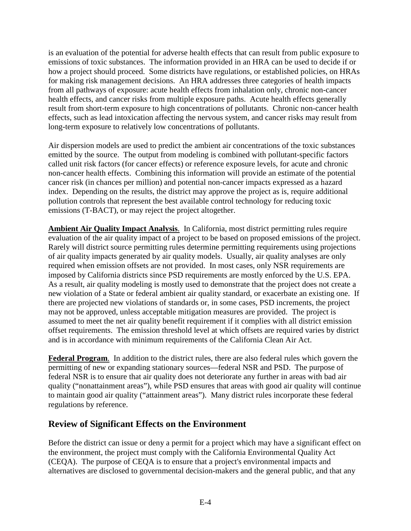is an evaluation of the potential for adverse health effects that can result from public exposure to emissions of toxic substances. The information provided in an HRA can be used to decide if or how a project should proceed. Some districts have regulations, or established policies, on HRAs for making risk management decisions. An HRA addresses three categories of health impacts from all pathways of exposure: acute health effects from inhalation only, chronic non-cancer health effects, and cancer risks from multiple exposure paths. Acute health effects generally result from short-term exposure to high concentrations of pollutants. Chronic non-cancer health effects, such as lead intoxication affecting the nervous system, and cancer risks may result from long-term exposure to relatively low concentrations of pollutants.

 Air dispersion models are used to predict the ambient air concentrations of the toxic substances emitted by the source. The output from modeling is combined with pollutant-specific factors called unit risk factors (for cancer effects) or reference exposure levels, for acute and chronic non-cancer health effects. Combining this information will provide an estimate of the potential cancer risk (in chances per million) and potential non-cancer impacts expressed as a hazard index. Depending on the results, the district may approve the project as is, require additional pollution controls that represent the best available control technology for reducing toxic emissions (T-BACT), or may reject the project altogether.

 **Ambient Air Quality Impact Analysis**. In California, most district permitting rules require evaluation of the air quality impact of a project to be based on proposed emissions of the project. Rarely will district source permitting rules determine permitting requirements using projections of air quality impacts generated by air quality models. Usually, air quality analyses are only required when emission offsets are not provided. In most cases, only NSR requirements are imposed by California districts since PSD requirements are mostly enforced by the U.S. EPA. As a result, air quality modeling is mostly used to demonstrate that the project does not create a new violation of a State or federal ambient air quality standard, or exacerbate an existing one. If there are projected new violations of standards or, in some cases, PSD increments, the project may not be approved, unless acceptable mitigation measures are provided. The project is assumed to meet the net air quality benefit requirement if it complies with all district emission offset requirements. The emission threshold level at which offsets are required varies by district and is in accordance with minimum requirements of the California Clean Air Act.

 **Federal Program**. In addition to the district rules, there are also federal rules which govern the permitting of new or expanding stationary sources—federal NSR and PSD. The purpose of federal NSR is to ensure that air quality does not deteriorate any further in areas with bad air quality ("nonattainment areas"), while PSD ensures that areas with good air quality will continue to maintain good air quality ("attainment areas"). Many district rules incorporate these federal regulations by reference.

#### **Review of Significant Effects on the Environment**

 Before the district can issue or deny a permit for a project which may have a significant effect on the environment, the project must comply with the California Environmental Quality Act (CEQA). The purpose of CEQA is to ensure that a project's environmental impacts and alternatives are disclosed to governmental decision-makers and the general public, and that any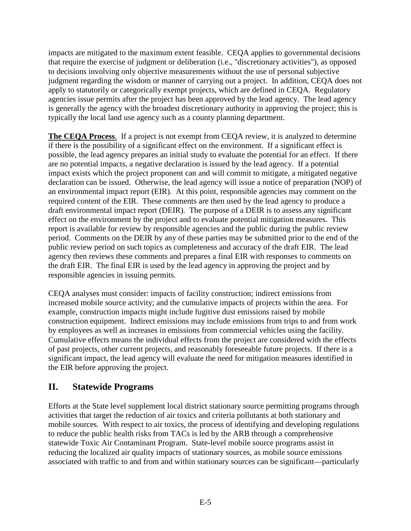impacts are mitigated to the maximum extent feasible. CEQA applies to governmental decisions that require the exercise of judgment or deliberation (i.e., "discretionary activities"), as opposed to decisions involving only objective measurements without the use of personal subjective judgment regarding the wisdom or manner of carrying out a project. In addition, CEQA does not apply to statutorily or categorically exempt projects, which are defined in CEQA. Regulatory agencies issue permits after the project has been approved by the lead agency. The lead agency is generally the agency with the broadest discretionary authority in approving the project; this is typically the local land use agency such as a county planning department.

 **The CEQA Process**. If a project is not exempt from CEQA review, it is analyzed to determine if there is the possibility of a significant effect on the environment. If a significant effect is possible, the lead agency prepares an initial study to evaluate the potential for an effect. If there are no potential impacts, a negative declaration is issued by the lead agency. If a potential impact exists which the project proponent can and will commit to mitigate, a mitigated negative declaration can be issued. Otherwise, the lead agency will issue a notice of preparation (NOP) of an environmental impact report (EIR). At this point, responsible agencies may comment on the required content of the EIR. These comments are then used by the lead agency to produce a draft environmental impact report (DEIR). The purpose of a DEIR is to assess any significant effect on the environment by the project and to evaluate potential mitigation measures. This report is available for review by responsible agencies and the public during the public review period. Comments on the DEIR by any of these parties may be submitted prior to the end of the public review period on such topics as completeness and accuracy of the draft EIR. The lead agency then reviews these comments and prepares a final EIR with responses to comments on the draft EIR. The final EIR is used by the lead agency in approving the project and by responsible agencies in issuing permits.

 CEQA analyses must consider: impacts of facility construction; indirect emissions from increased mobile source activity; and the cumulative impacts of projects within the area. For example, construction impacts might include fugitive dust emissions raised by mobile construction equipment. Indirect emissions may include emissions from trips to and from work by employees as well as increases in emissions from commercial vehicles using the facility. Cumulative effects means the individual effects from the project are considered with the effects of past projects, other current projects, and reasonably foreseeable future projects. If there is a significant impact, the lead agency will evaluate the need for mitigation measures identified in the EIR before approving the project.

#### **II. Statewide Programs**

 Efforts at the State level supplement local district stationary source permitting programs through activities that target the reduction of air toxics and criteria pollutants at both stationary and mobile sources. With respect to air toxics, the process of identifying and developing regulations to reduce the public health risks from TACs is led by the ARB through a comprehensive statewide Toxic Air Contaminant Program. State-level mobile source programs assist in reducing the localized air quality impacts of stationary sources, as mobile source emissions associated with traffic to and from and within stationary sources can be significant—particularly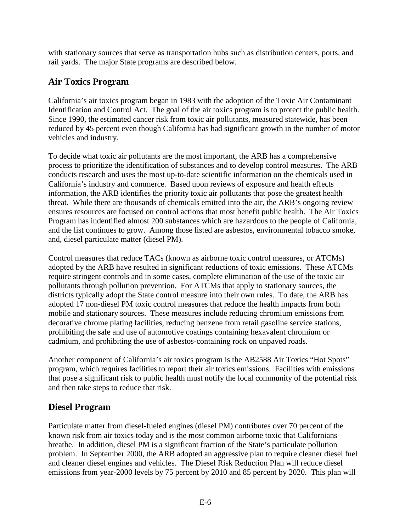with stationary sources that serve as transportation hubs such as distribution centers, ports, and rail yards. The major State programs are described below.

### **Air Toxics Program**

 California's air toxics program began in 1983 with the adoption of the Toxic Air Contaminant Identification and Control Act. The goal of the air toxics program is to protect the public health. Since 1990, the estimated cancer risk from toxic air pollutants, measured statewide, has been reduced by 45 percent even though California has had significant growth in the number of motor vehicles and industry.

 To decide what toxic air pollutants are the most important, the ARB has a comprehensive process to prioritize the identification of substances and to develop control measures. The ARB conducts research and uses the most up-to-date scientific information on the chemicals used in California's industry and commerce. Based upon reviews of exposure and health effects information, the ARB identifies the priority toxic air pollutants that pose the greatest health threat. While there are thousands of chemicals emitted into the air, the ARB's ongoing review ensures resources are focused on control actions that most benefit public health. The Air Toxics Program has indentified almost 200 substances which are hazardous to the people of California, and the list continues to grow. Among those listed are asbestos, environmental tobacco smoke, and, diesel particulate matter (diesel PM).

 Control measures that reduce TACs (known as airborne toxic control measures, or ATCMs) adopted by the ARB have resulted in significant reductions of toxic emissions. These ATCMs require stringent controls and in some cases, complete elimination of the use of the toxic air pollutants through pollution prevention. For ATCMs that apply to stationary sources, the districts typically adopt the State control measure into their own rules. To date, the ARB has adopted 17 non-diesel PM toxic control measures that reduce the health impacts from both mobile and stationary sources. These measures include reducing chromium emissions from decorative chrome plating facilities, reducing benzene from retail gasoline service stations, prohibiting the sale and use of automotive coatings containing hexavalent chromium or cadmium, and prohibiting the use of asbestos-containing rock on unpaved roads.

 Another component of California's air toxics program is the AB2588 Air Toxics "Hot Spots" program, which requires facilities to report their air toxics emissions. Facilities with emissions that pose a significant risk to public health must notify the local community of the potential risk and then take steps to reduce that risk.

### **Diesel Program**

 Particulate matter from diesel-fueled engines (diesel PM) contributes over 70 percent of the known risk from air toxics today and is the most common airborne toxic that Californians breathe. In addition, diesel PM is a significant fraction of the State's particulate pollution problem. In September 2000, the ARB adopted an aggressive plan to require cleaner diesel fuel and cleaner diesel engines and vehicles. The Diesel Risk Reduction Plan will reduce diesel emissions from year-2000 levels by 75 percent by 2010 and 85 percent by 2020. This plan will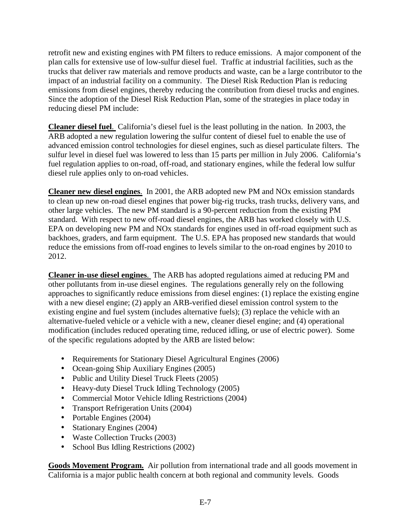retrofit new and existing engines with PM filters to reduce emissions. A major component of the plan calls for extensive use of low-sulfur diesel fuel. Traffic at industrial facilities, such as the trucks that deliver raw materials and remove products and waste, can be a large contributor to the impact of an industrial facility on a community. The Diesel Risk Reduction Plan is reducing emissions from diesel engines, thereby reducing the contribution from diesel trucks and engines. Since the adoption of the Diesel Risk Reduction Plan, some of the strategies in place today in reducing diesel PM include:

 **Cleaner diesel fuel**. California's diesel fuel is the least polluting in the nation. In 2003, the ARB adopted a new regulation lowering the sulfur content of diesel fuel to enable the use of advanced emission control technologies for diesel engines, such as diesel particulate filters. The sulfur level in diesel fuel was lowered to less than 15 parts per million in July 2006. California's fuel regulation applies to on-road, off-road, and stationary engines, while the federal low sulfur diesel rule applies only to on-road vehicles.

 **Cleaner new diesel engines**. In 2001, the ARB adopted new PM and NOx emission standards to clean up new on-road diesel engines that power big-rig trucks, trash trucks, delivery vans, and other large vehicles. The new PM standard is a 90-percent reduction from the existing PM standard. With respect to new off-road diesel engines, the ARB has worked closely with U.S. EPA on developing new PM and NOx standards for engines used in off-road equipment such as backhoes, graders, and farm equipment. The U.S. EPA has proposed new standards that would reduce the emissions from off-road engines to levels similar to the on-road engines by 2010 to 2012.

 **Cleaner in-use diesel engines**. The ARB has adopted regulations aimed at reducing PM and other pollutants from in-use diesel engines. The regulations generally rely on the following approaches to significantly reduce emissions from diesel engines: (1) replace the existing engine with a new diesel engine; (2) apply an ARB-verified diesel emission control system to the existing engine and fuel system (includes alternative fuels); (3) replace the vehicle with an alternative-fueled vehicle or a vehicle with a new, cleaner diesel engine; and (4) operational modification (includes reduced operating time, reduced idling, or use of electric power). Some of the specific regulations adopted by the ARB are listed below:

- Requirements for Stationary Diesel Agricultural Engines (2006)
- Ocean-going Ship Auxiliary Engines (2005)
- Public and Utility Diesel Truck Fleets (2005)
- Heavy-duty Diesel Truck Idling Technology (2005)
- Commercial Motor Vehicle Idling Restrictions (2004)
- Transport Refrigeration Units (2004)
- Portable Engines (2004)
- Stationary Engines (2004)
- Waste Collection Trucks (2003)
- School Bus Idling Restrictions (2002)

Goods Movement Program. Air pollution from international trade and all goods movement in California is a major public health concern at both regional and community levels. Goods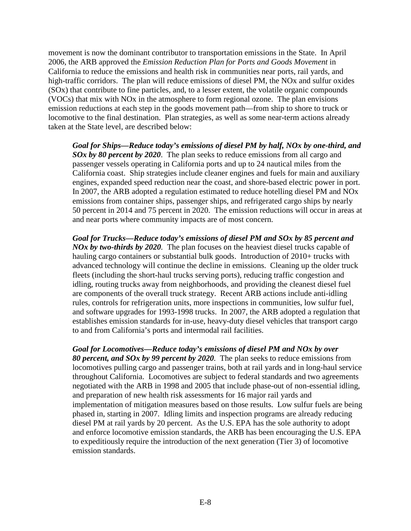movement is now the dominant contributor to transportation emissions in the State. In April 2006, the ARB approved the *Emission Reduction Plan for Ports and Goods Movement* in California to reduce the emissions and health risk in communities near ports, rail yards, and high-traffic corridors. The plan will reduce emissions of diesel PM, the NOx and sulfur oxides (SOx) that contribute to fine particles, and, to a lesser extent, the volatile organic compounds (VOCs) that mix with NOx in the atmosphere to form regional ozone. The plan envisions emission reductions at each step in the goods movement path—from ship to shore to truck or locomotive to the final destination. Plan strategies, as well as some near-term actions already taken at the State level, are described below:

 *Goal for Ships—Reduce today's emissions of diesel PM by half, NOx by one-third, and SOx by 80 percent by 2020*. The plan seeks to reduce emissions from all cargo and passenger vessels operating in California ports and up to 24 nautical miles from the California coast. Ship strategies include cleaner engines and fuels for main and auxiliary engines, expanded speed reduction near the coast, and shore-based electric power in port. In 2007, the ARB adopted a regulation estimated to reduce hotelling diesel PM and NOx emissions from container ships, passenger ships, and refrigerated cargo ships by nearly 50 percent in 2014 and 75 percent in 2020. The emission reductions will occur in areas at and near ports where community impacts are of most concern.

 *Goal for Trucks—Reduce today's emissions of diesel PM and SOx by 85 percent and NOx by two-thirds by 2020.* The plan focuses on the heaviest diesel trucks capable of hauling cargo containers or substantial bulk goods. Introduction of 2010+ trucks with advanced technology will continue the decline in emissions. Cleaning up the older truck fleets (including the short-haul trucks serving ports), reducing traffic congestion and idling, routing trucks away from neighborhoods, and providing the cleanest diesel fuel are components of the overall truck strategy. Recent ARB actions include anti-idling rules, controls for refrigeration units, more inspections in communities, low sulfur fuel, and software upgrades for 1993-1998 trucks. In 2007, the ARB adopted a regulation that establishes emission standards for in-use, heavy-duty diesel vehicles that transport cargo to and from California's ports and intermodal rail facilities.

 *Goal for Locomotives—Reduce today's emissions of diesel PM and NOx by over 80 percent, and SOx by 99 percent by 2020.* The plan seeks to reduce emissions from locomotives pulling cargo and passenger trains, both at rail yards and in long-haul service throughout California. Locomotives are subject to federal standards and two agreements negotiated with the ARB in 1998 and 2005 that include phase-out of non-essential idling, and preparation of new health risk assessments for 16 major rail yards and implementation of mitigation measures based on those results. Low sulfur fuels are being phased in, starting in 2007. Idling limits and inspection programs are already reducing diesel PM at rail yards by 20 percent. As the U.S. EPA has the sole authority to adopt and enforce locomotive emission standards, the ARB has been encouraging the U.S. EPA to expeditiously require the introduction of the next generation (Tier 3) of locomotive emission standards.